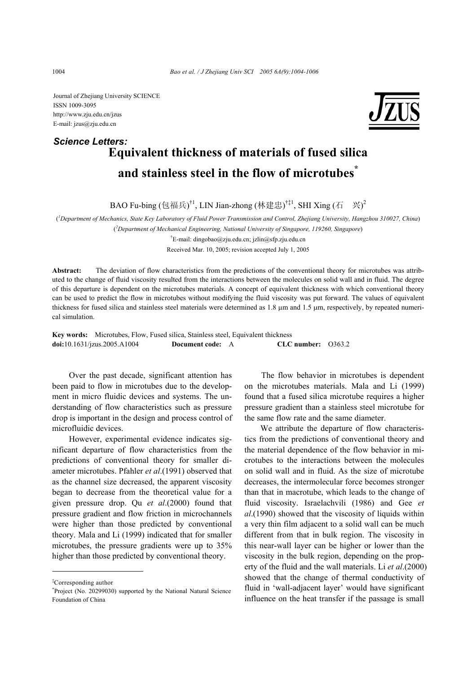Journal of Zhejiang University SCIENCE ISSN 1009-3095 http://www.zju.edu.cn/jzus E-mail: jzus@zju.edu.cn

## **Equivalent thickness of materials of fused silica and stainless steel in the flow of microtubes\*** *Science Letters:*

BAO Fu-bing (包福兵)<sup>†1</sup>, LIN Jian-zhong (林建忠)<sup>†‡1</sup>, SHI Xing (石 兴)<sup>2</sup>

( *1 Department of Mechanics, State Key Laboratory of Fluid Power Transmission and Control, Zhejiang University, Hangzhou 310027, China*)

( *2 Department of Mechanical Engineering, National University of Singapore, 119260, Singapore*)

† E-mail: dingobao@zju.edu.cn; jzlin@sfp.zju.edu.cn Received Mar. 10, 2005; revision accepted July 1, 2005

**Abstract:** The deviation of flow characteristics from the predictions of the conventional theory for microtubes was attributed to the change of fluid viscosity resulted from the interactions between the molecules on solid wall and in fluid. The degree of this departure is dependent on the microtubes materials. A concept of equivalent thickness with which conventional theory can be used to predict the flow in microtubes without modifying the fluid viscosity was put forward. The values of equivalent thickness for fused silica and stainless steel materials were determined as 1.8 µm and 1.5 µm, respectively, by repeated numerical simulation.

**Key words:** Microtubes, Flow, Fused silica, Stainless steel, Equivalent thickness **doi:**10.1631/jzus.2005.A1004 **Document code:** A **CLC number:** O363.2

Over the past decade, significant attention has been paid to flow in microtubes due to the development in micro fluidic devices and systems. The understanding of flow characteristics such as pressure drop is important in the design and process control of microfluidic devices.

However, experimental evidence indicates significant departure of flow characteristics from the predictions of conventional theory for smaller diameter microtubes. Pfahler *et al*.(1991) observed that as the channel size decreased, the apparent viscosity began to decrease from the theoretical value for a given pressure drop. Qu *et al*.(2000) found that pressure gradient and flow friction in microchannels were higher than those predicted by conventional theory. Mala and Li (1999) indicated that for smaller microtubes, the pressure gradients were up to 35% higher than those predicted by conventional theory.

The flow behavior in microtubes is dependent on the microtubes materials. Mala and Li (1999) found that a fused silica microtube requires a higher pressure gradient than a stainless steel microtube for the same flow rate and the same diameter.

We attribute the departure of flow characteristics from the predictions of conventional theory and the material dependence of the flow behavior in microtubes to the interactions between the molecules on solid wall and in fluid. As the size of microtube decreases, the intermolecular force becomes stronger than that in macrotube, which leads to the change of fluid viscosity. Israelachvili (1986) and Gee *et al*.(1990) showed that the viscosity of liquids within a very thin film adjacent to a solid wall can be much different from that in bulk region. The viscosity in this near-wall layer can be higher or lower than the viscosity in the bulk region, depending on the property of the fluid and the wall materials. Li *et al*.(2000) showed that the change of thermal conductivity of fluid in 'wall-adjacent layer' would have significant influence on the heat transfer if the passage is small



<sup>‡</sup> Corresponding author

<sup>\*</sup> Project (No. 20299030) supported by the National Natural Science Foundation of China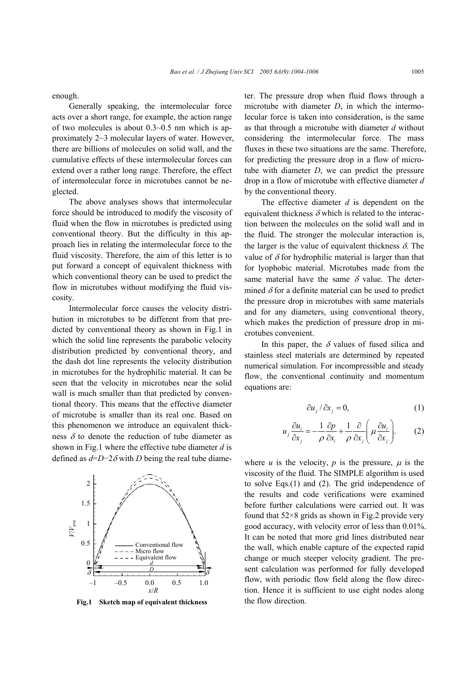enough.

Generally speaking, the intermolecular force acts over a short range, for example, the action range of two molecules is about 0.3~0.5 nm which is approximately 2~3 molecular layers of water. However, there are billions of molecules on solid wall, and the cumulative effects of these intermolecular forces can extend over a rather long range. Therefore, the effect of intermolecular force in microtubes cannot be neglected.

The above analyses shows that intermolecular force should be introduced to modify the viscosity of fluid when the flow in microtubes is predicted using conventional theory. But the difficulty in this approach lies in relating the intermolecular force to the fluid viscosity. Therefore, the aim of this letter is to put forward a concept of equivalent thickness with which conventional theory can be used to predict the flow in microtubes without modifying the fluid viscosity.

Intermolecular force causes the velocity distribution in microtubes to be different from that predicted by conventional theory as shown in Fig.1 in which the solid line represents the parabolic velocity distribution predicted by conventional theory, and the dash dot line represents the velocity distribution in microtubes for the hydrophilic material. It can be seen that the velocity in microtubes near the solid wall is much smaller than that predicted by conventional theory. This means that the effective diameter of microtube is smaller than its real one. Based on this phenomenon we introduce an equivalent thickness  $\delta$  to denote the reduction of tube diameter as shown in Fig.1 where the effective tube diameter *d* is defined as  $d=D-2\delta$  with *D* being the real tube diame-



Fig.1 Sketch map of equivalent thickness the flow direction.

ter. The pressure drop when fluid flows through a microtube with diameter *D*, in which the intermolecular force is taken into consideration, is the same as that through a microtube with diameter *d* without considering the intermolecular force. The mass fluxes in these two situations are the same. Therefore, for predicting the pressure drop in a flow of microtube with diameter *D*, we can predict the pressure drop in a flow of microtube with effective diameter *d* by the conventional theory.

The effective diameter *d* is dependent on the equivalent thickness  $\delta$  which is related to the interaction between the molecules on the solid wall and in the fluid. The stronger the molecular interaction is, the larger is the value of equivalent thickness  $\delta$ . The value of  $\delta$  for hydrophilic material is larger than that for lyophobic material. Microtubes made from the same material have the same  $\delta$  value. The determined  $\delta$  for a definite material can be used to predict the pressure drop in microtubes with same materials and for any diameters, using conventional theory, which makes the prediction of pressure drop in microtubes convenient.

In this paper, the  $\delta$  values of fused silica and stainless steel materials are determined by repeated numerical simulation. For incompressible and steady flow, the conventional continuity and momentum equations are:

$$
\frac{\partial u_j}{\partial x_j} = 0,\tag{1}
$$

$$
u_j \frac{\partial u_i}{\partial x_j} = -\frac{1}{\rho} \frac{\partial p}{\partial x_i} + \frac{1}{\rho} \frac{\partial}{\partial x_j} \left( \mu \frac{\partial u_i}{\partial x_j} \right). \tag{2}
$$

where  $u$  is the velocity,  $p$  is the pressure,  $\mu$  is the viscosity of the fluid. The SIMPLE algorithm is used to solve Eqs.(1) and (2). The grid independence of the results and code verifications were examined before further calculations were carried out. It was found that  $52\times8$  grids as shown in Fig.2 provide very good accuracy, with velocity error of less than 0.01%. It can be noted that more grid lines distributed near the wall, which enable capture of the expected rapid change or much steeper velocity gradient. The present calculation was performed for fully developed flow, with periodic flow field along the flow direction. Hence it is sufficient to use eight nodes along